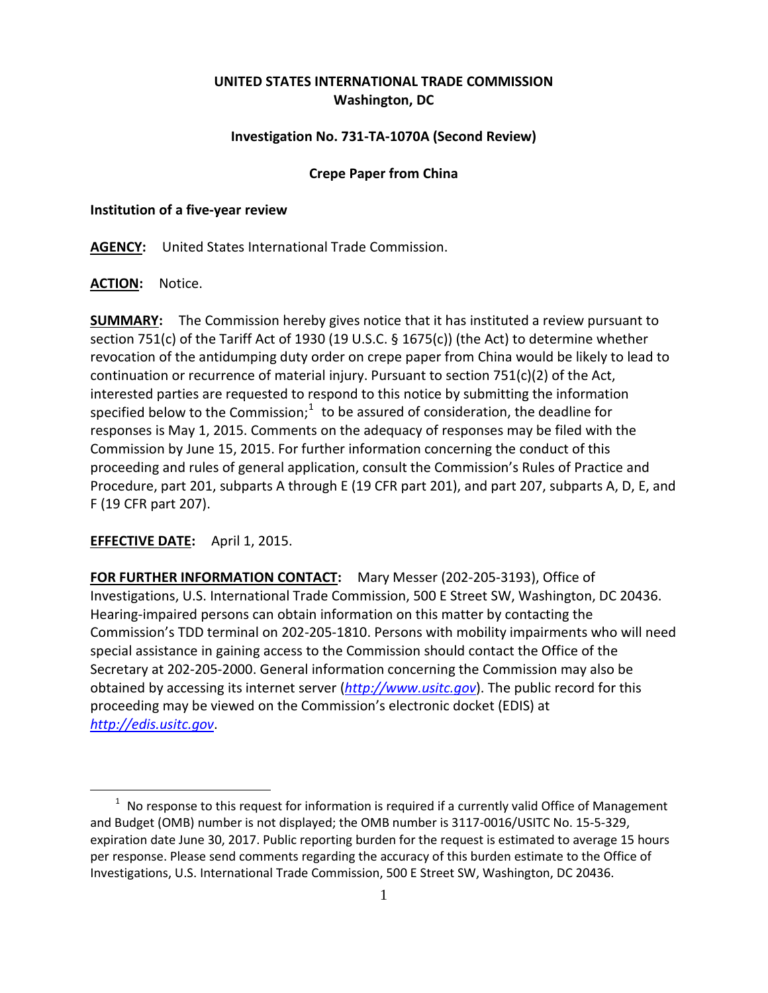# **UNITED STATES INTERNATIONAL TRADE COMMISSION Washington, DC**

## **Investigation No. 731-TA-1070A (Second Review)**

### **Crepe Paper from China**

#### **Institution of a five-year review**

**AGENCY:** United States International Trade Commission.

**ACTION:** Notice.

**SUMMARY:** The Commission hereby gives notice that it has instituted a review pursuant to section 751(c) of the Tariff Act of 1930 (19 U.S.C. § 1675(c)) (the Act) to determine whether revocation of the antidumping duty order on crepe paper from China would be likely to lead to continuation or recurrence of material injury. Pursuant to section  $751(c)(2)$  of the Act, interested parties are requested to respond to this notice by submitting the information specified below to the Commission; $1$  to be assured of consideration, the deadline for responses is May 1, 2015. Comments on the adequacy of responses may be filed with the Commission by June 15, 2015. For further information concerning the conduct of this proceeding and rules of general application, consult the Commission's Rules of Practice and Procedure, part 201, subparts A through E (19 CFR part 201), and part 207, subparts A, D, E, and F (19 CFR part 207).

## **EFFECTIVE DATE:** April 1, 2015.

 $\overline{a}$ 

**FOR FURTHER INFORMATION CONTACT:** Mary Messer (202-205-3193), Office of Investigations, U.S. International Trade Commission, 500 E Street SW, Washington, DC 20436. Hearing-impaired persons can obtain information on this matter by contacting the Commission's TDD terminal on 202-205-1810. Persons with mobility impairments who will need special assistance in gaining access to the Commission should contact the Office of the Secretary at 202-205-2000. General information concerning the Commission may also be obtained by accessing its internet server (*[http://www.usitc.gov](http://www.usitc.gov/)*). The public record for this proceeding may be viewed on the Commission's electronic docket (EDIS) at *[http://edis.usitc.gov](http://edis.usitc.gov/)*.

<span id="page-0-0"></span> $1$  No response to this request for information is required if a currently valid Office of Management and Budget (OMB) number is not displayed; the OMB number is 3117-0016/USITC No. 15-5-329, expiration date June 30, 2017. Public reporting burden for the request is estimated to average 15 hours per response. Please send comments regarding the accuracy of this burden estimate to the Office of Investigations, U.S. International Trade Commission, 500 E Street SW, Washington, DC 20436.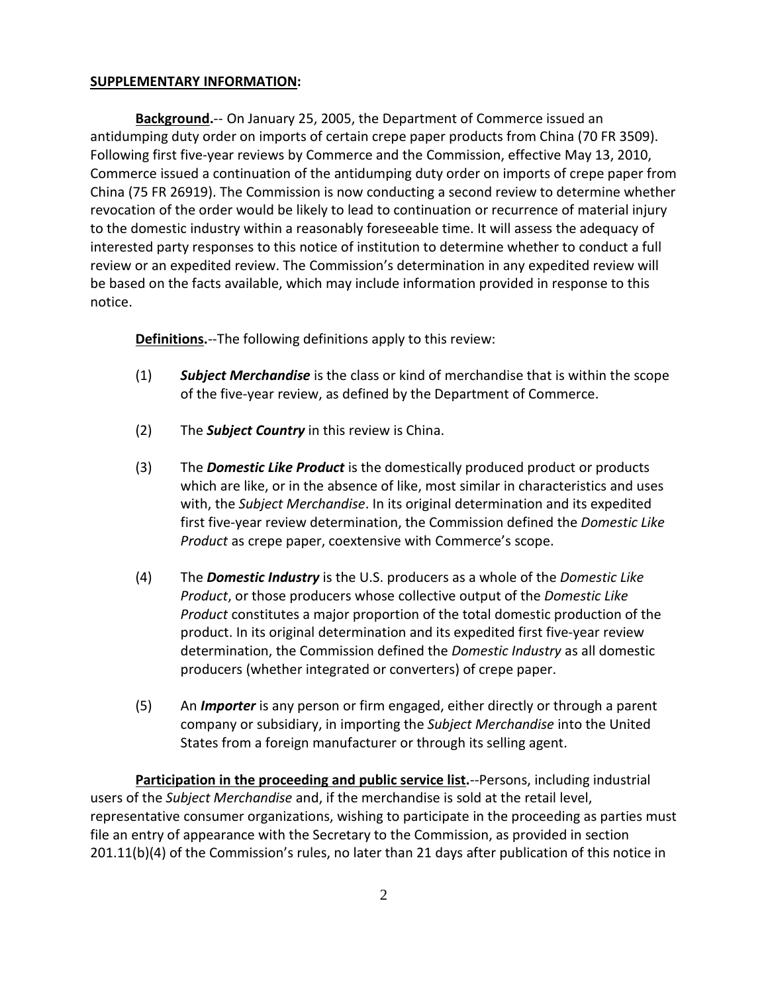## **SUPPLEMENTARY INFORMATION:**

**Background.**-- On January 25, 2005, the Department of Commerce issued an antidumping duty order on imports of certain crepe paper products from China (70 FR 3509). Following first five-year reviews by Commerce and the Commission, effective May 13, 2010, Commerce issued a continuation of the antidumping duty order on imports of crepe paper from China (75 FR 26919). The Commission is now conducting a second review to determine whether revocation of the order would be likely to lead to continuation or recurrence of material injury to the domestic industry within a reasonably foreseeable time. It will assess the adequacy of interested party responses to this notice of institution to determine whether to conduct a full review or an expedited review. The Commission's determination in any expedited review will be based on the facts available, which may include information provided in response to this notice.

**Definitions.**--The following definitions apply to this review:

- (1) *Subject Merchandise* is the class or kind of merchandise that is within the scope of the five-year review, as defined by the Department of Commerce.
- (2) The *Subject Country* in this review is China.
- (3) The *Domestic Like Product* is the domestically produced product or products which are like, or in the absence of like, most similar in characteristics and uses with, the *Subject Merchandise*. In its original determination and its expedited first five-year review determination, the Commission defined the *Domestic Like Product* as crepe paper, coextensive with Commerce's scope.
- (4) The *Domestic Industry* is the U.S. producers as a whole of the *Domestic Like Product*, or those producers whose collective output of the *Domestic Like Product* constitutes a major proportion of the total domestic production of the product. In its original determination and its expedited first five-year review determination, the Commission defined the *Domestic Industry* as all domestic producers (whether integrated or converters) of crepe paper.
- (5) An *Importer* is any person or firm engaged, either directly or through a parent company or subsidiary, in importing the *Subject Merchandise* into the United States from a foreign manufacturer or through its selling agent.

**Participation in the proceeding and public service list.**--Persons, including industrial users of the *Subject Merchandise* and, if the merchandise is sold at the retail level, representative consumer organizations, wishing to participate in the proceeding as parties must file an entry of appearance with the Secretary to the Commission, as provided in section 201.11(b)(4) of the Commission's rules, no later than 21 days after publication of this notice in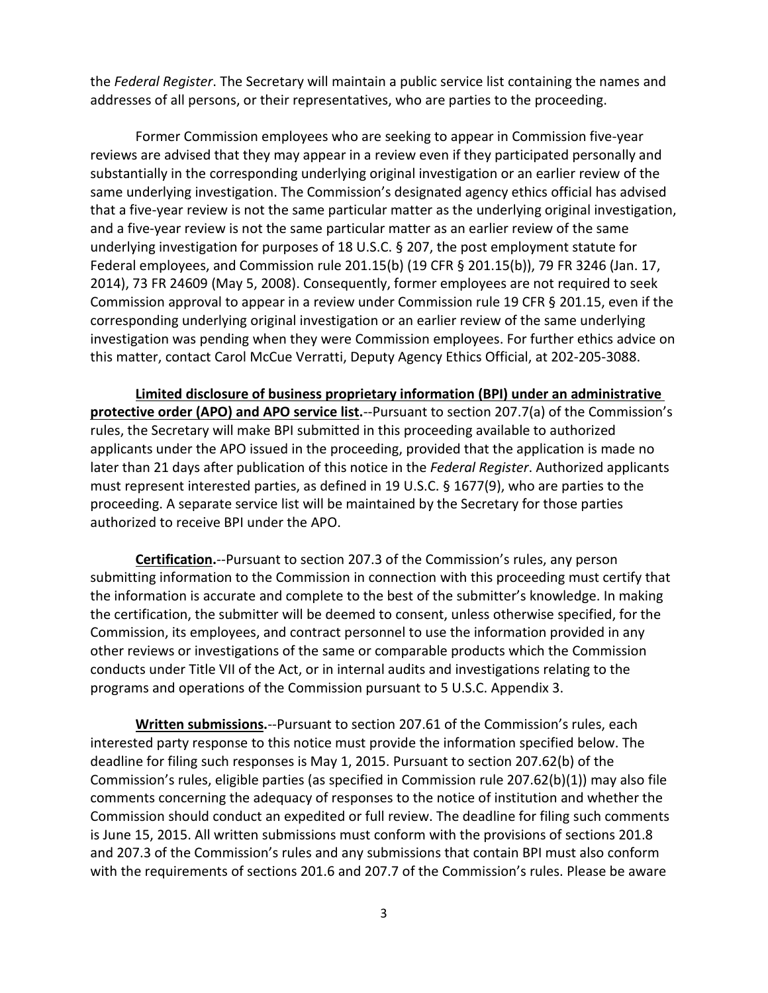the *Federal Register*. The Secretary will maintain a public service list containing the names and addresses of all persons, or their representatives, who are parties to the proceeding.

Former Commission employees who are seeking to appear in Commission five-year reviews are advised that they may appear in a review even if they participated personally and substantially in the corresponding underlying original investigation or an earlier review of the same underlying investigation. The Commission's designated agency ethics official has advised that a five-year review is not the same particular matter as the underlying original investigation, and a five-year review is not the same particular matter as an earlier review of the same underlying investigation for purposes of 18 U.S.C. § 207, the post employment statute for Federal employees, and Commission rule 201.15(b) (19 CFR § 201.15(b)), 79 FR 3246 (Jan. 17, 2014), 73 FR 24609 (May 5, 2008). Consequently, former employees are not required to seek Commission approval to appear in a review under Commission rule 19 CFR § 201.15, even if the corresponding underlying original investigation or an earlier review of the same underlying investigation was pending when they were Commission employees. For further ethics advice on this matter, contact Carol McCue Verratti, Deputy Agency Ethics Official, at 202-205-3088.

**Limited disclosure of business proprietary information (BPI) under an administrative protective order (APO) and APO service list.**--Pursuant to section 207.7(a) of the Commission's rules, the Secretary will make BPI submitted in this proceeding available to authorized applicants under the APO issued in the proceeding, provided that the application is made no later than 21 days after publication of this notice in the *Federal Register*. Authorized applicants must represent interested parties, as defined in 19 U.S.C. § 1677(9), who are parties to the proceeding. A separate service list will be maintained by the Secretary for those parties authorized to receive BPI under the APO.

**Certification.**--Pursuant to section 207.3 of the Commission's rules, any person submitting information to the Commission in connection with this proceeding must certify that the information is accurate and complete to the best of the submitter's knowledge. In making the certification, the submitter will be deemed to consent, unless otherwise specified, for the Commission, its employees, and contract personnel to use the information provided in any other reviews or investigations of the same or comparable products which the Commission conducts under Title VII of the Act, or in internal audits and investigations relating to the programs and operations of the Commission pursuant to 5 U.S.C. Appendix 3.

**Written submissions.**--Pursuant to section 207.61 of the Commission's rules, each interested party response to this notice must provide the information specified below. The deadline for filing such responses is May 1, 2015. Pursuant to section 207.62(b) of the Commission's rules, eligible parties (as specified in Commission rule 207.62(b)(1)) may also file comments concerning the adequacy of responses to the notice of institution and whether the Commission should conduct an expedited or full review. The deadline for filing such comments is June 15, 2015. All written submissions must conform with the provisions of sections 201.8 and 207.3 of the Commission's rules and any submissions that contain BPI must also conform with the requirements of sections 201.6 and 207.7 of the Commission's rules. Please be aware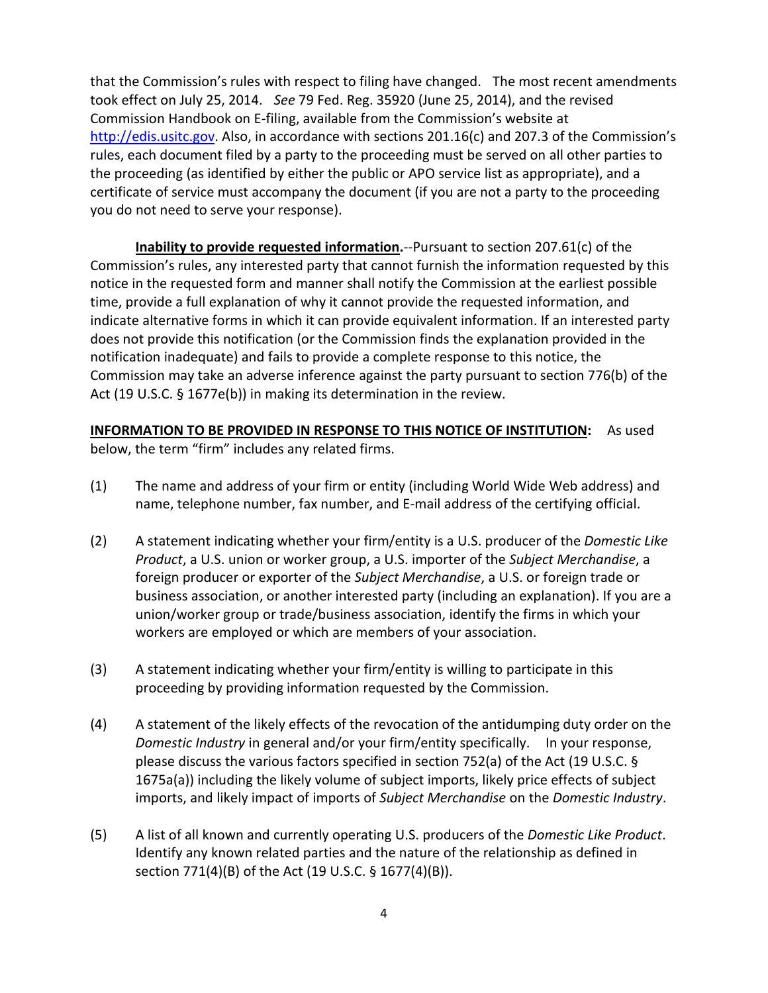that the Commission's rules with respect to filing have changed. The most recent amendments took effect on July 25, 2014. *See* 79 Fed. Reg. 35920 (June 25, 2014), and the revised Commission Handbook on E-filing, available from the Commission's website at [http://edis.usitc.gov.](http://edis.usitc.gov/) Also, in accordance with sections 201.16(c) and 207.3 of the Commission's rules, each document filed by a party to the proceeding must be served on all other parties to the proceeding (as identified by either the public or APO service list as appropriate), and a certificate of service must accompany the document (if you are not a party to the proceeding you do not need to serve your response).

**Inability to provide requested information.**--Pursuant to section 207.61(c) of the Commission's rules, any interested party that cannot furnish the information requested by this notice in the requested form and manner shall notify the Commission at the earliest possible time, provide a full explanation of why it cannot provide the requested information, and indicate alternative forms in which it can provide equivalent information. If an interested party does not provide this notification (or the Commission finds the explanation provided in the notification inadequate) and fails to provide a complete response to this notice, the Commission may take an adverse inference against the party pursuant to section 776(b) of the Act (19 U.S.C. § 1677e(b)) in making its determination in the review.

# **INFORMATION TO BE PROVIDED IN RESPONSE TO THIS NOTICE OF INSTITUTION:** As used

below, the term "firm" includes any related firms.

- (1) The name and address of your firm or entity (including World Wide Web address) and name, telephone number, fax number, and E-mail address of the certifying official.
- (2) A statement indicating whether your firm/entity is a U.S. producer of the *Domestic Like Product*, a U.S. union or worker group, a U.S. importer of the *Subject Merchandise*, a foreign producer or exporter of the *Subject Merchandise*, a U.S. or foreign trade or business association, or another interested party (including an explanation). If you are a union/worker group or trade/business association, identify the firms in which your workers are employed or which are members of your association.
- (3) A statement indicating whether your firm/entity is willing to participate in this proceeding by providing information requested by the Commission.
- (4) A statement of the likely effects of the revocation of the antidumping duty order on the *Domestic Industry* in general and/or your firm/entity specifically. In your response, please discuss the various factors specified in section 752(a) of the Act (19 U.S.C. § 1675a(a)) including the likely volume of subject imports, likely price effects of subject imports, and likely impact of imports of *Subject Merchandise* on the *Domestic Industry*.
- (5) A list of all known and currently operating U.S. producers of the *Domestic Like Product*. Identify any known related parties and the nature of the relationship as defined in section 771(4)(B) of the Act (19 U.S.C. § 1677(4)(B)).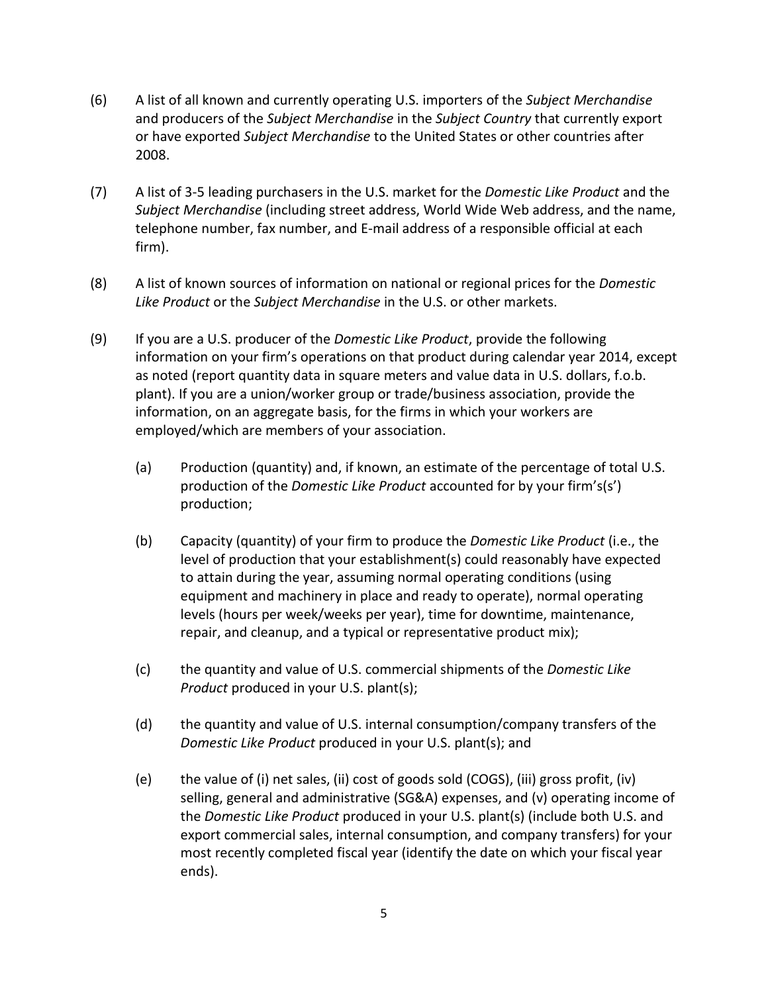- (6) A list of all known and currently operating U.S. importers of the *Subject Merchandise* and producers of the *Subject Merchandise* in the *Subject Country* that currently export or have exported *Subject Merchandise* to the United States or other countries after 2008.
- (7) A list of 3-5 leading purchasers in the U.S. market for the *Domestic Like Product* and the *Subject Merchandise* (including street address, World Wide Web address, and the name, telephone number, fax number, and E-mail address of a responsible official at each firm).
- (8) A list of known sources of information on national or regional prices for the *Domestic Like Product* or the *Subject Merchandise* in the U.S. or other markets.
- (9) If you are a U.S. producer of the *Domestic Like Product*, provide the following information on your firm's operations on that product during calendar year 2014, except as noted (report quantity data in square meters and value data in U.S. dollars, f.o.b. plant). If you are a union/worker group or trade/business association, provide the information, on an aggregate basis, for the firms in which your workers are employed/which are members of your association.
	- (a) Production (quantity) and, if known, an estimate of the percentage of total U.S. production of the *Domestic Like Product* accounted for by your firm's(s') production;
	- (b) Capacity (quantity) of your firm to produce the *Domestic Like Product* (i.e., the level of production that your establishment(s) could reasonably have expected to attain during the year, assuming normal operating conditions (using equipment and machinery in place and ready to operate), normal operating levels (hours per week/weeks per year), time for downtime, maintenance, repair, and cleanup, and a typical or representative product mix);
	- (c) the quantity and value of U.S. commercial shipments of the *Domestic Like Product* produced in your U.S. plant(s);
	- (d) the quantity and value of U.S. internal consumption/company transfers of the *Domestic Like Product* produced in your U.S. plant(s); and
	- (e) the value of (i) net sales, (ii) cost of goods sold (COGS), (iii) gross profit, (iv) selling, general and administrative (SG&A) expenses, and (v) operating income of the *Domestic Like Product* produced in your U.S. plant(s) (include both U.S. and export commercial sales, internal consumption, and company transfers) for your most recently completed fiscal year (identify the date on which your fiscal year ends).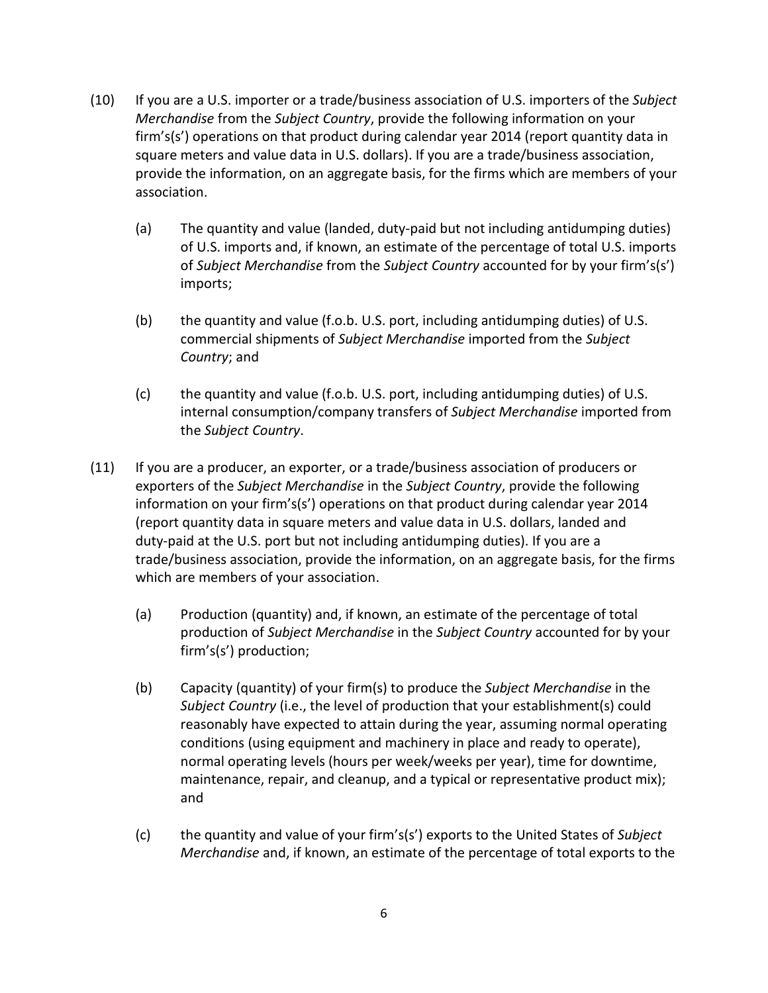- (10) If you are a U.S. importer or a trade/business association of U.S. importers of the *Subject Merchandise* from the *Subject Country*, provide the following information on your firm's(s') operations on that product during calendar year 2014 (report quantity data in square meters and value data in U.S. dollars). If you are a trade/business association, provide the information, on an aggregate basis, for the firms which are members of your association.
	- (a) The quantity and value (landed, duty-paid but not including antidumping duties) of U.S. imports and, if known, an estimate of the percentage of total U.S. imports of *Subject Merchandise* from the *Subject Country* accounted for by your firm's(s') imports;
	- (b) the quantity and value (f.o.b. U.S. port, including antidumping duties) of U.S. commercial shipments of *Subject Merchandise* imported from the *Subject Country*; and
	- (c) the quantity and value (f.o.b. U.S. port, including antidumping duties) of U.S. internal consumption/company transfers of *Subject Merchandise* imported from the *Subject Country*.
- (11) If you are a producer, an exporter, or a trade/business association of producers or exporters of the *Subject Merchandise* in the *Subject Country*, provide the following information on your firm's(s') operations on that product during calendar year 2014 (report quantity data in square meters and value data in U.S. dollars, landed and duty-paid at the U.S. port but not including antidumping duties). If you are a trade/business association, provide the information, on an aggregate basis, for the firms which are members of your association.
	- (a) Production (quantity) and, if known, an estimate of the percentage of total production of *Subject Merchandise* in the *Subject Country* accounted for by your firm's(s') production;
	- (b) Capacity (quantity) of your firm(s) to produce the *Subject Merchandise* in the *Subject Country* (i.e., the level of production that your establishment(s) could reasonably have expected to attain during the year, assuming normal operating conditions (using equipment and machinery in place and ready to operate), normal operating levels (hours per week/weeks per year), time for downtime, maintenance, repair, and cleanup, and a typical or representative product mix); and
	- (c) the quantity and value of your firm's(s') exports to the United States of *Subject Merchandise* and, if known, an estimate of the percentage of total exports to the